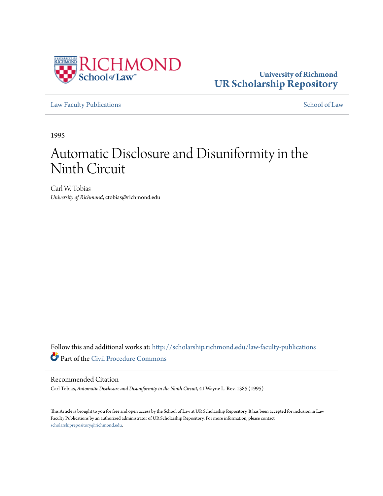

# **University of Richmond [UR Scholarship Repository](http://scholarship.richmond.edu?utm_source=scholarship.richmond.edu%2Flaw-faculty-publications%2F697&utm_medium=PDF&utm_campaign=PDFCoverPages)**

[Law Faculty Publications](http://scholarship.richmond.edu/law-faculty-publications?utm_source=scholarship.richmond.edu%2Flaw-faculty-publications%2F697&utm_medium=PDF&utm_campaign=PDFCoverPages) [School of Law](http://scholarship.richmond.edu/law?utm_source=scholarship.richmond.edu%2Flaw-faculty-publications%2F697&utm_medium=PDF&utm_campaign=PDFCoverPages)

1995

# Automatic Disclosure and Disuniformity in the Ninth Circuit

Carl W. Tobias *University of Richmond*, ctobias@richmond.edu

Follow this and additional works at: [http://scholarship.richmond.edu/law-faculty-publications](http://scholarship.richmond.edu/law-faculty-publications?utm_source=scholarship.richmond.edu%2Flaw-faculty-publications%2F697&utm_medium=PDF&utm_campaign=PDFCoverPages) Part of the [Civil Procedure Commons](http://network.bepress.com/hgg/discipline/584?utm_source=scholarship.richmond.edu%2Flaw-faculty-publications%2F697&utm_medium=PDF&utm_campaign=PDFCoverPages)

#### Recommended Citation

Carl Tobias, *Automatic Disclosure and Disuniformity in the Ninth Circuit,* 41 Wayne L. Rev. 1385 (1995)

This Article is brought to you for free and open access by the School of Law at UR Scholarship Repository. It has been accepted for inclusion in Law Faculty Publications by an authorized administrator of UR Scholarship Repository. For more information, please contact [scholarshiprepository@richmond.edu.](mailto:scholarshiprepository@richmond.edu)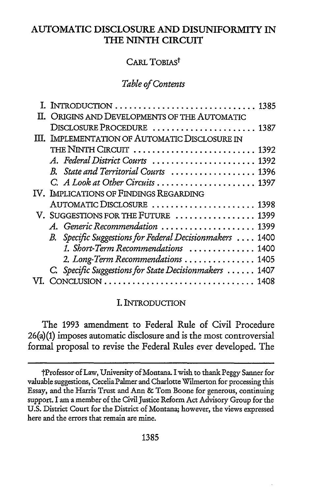# **AUTOMATIC DISCLOSURE AND DISUNIFORMITY IN THE NINTH CIRCUIT**

# CARL TOBIAST

#### *Table of Contents*

| II. ORIGINS AND DEVELOPMENTS OF THE AUTOMATIC              |  |
|------------------------------------------------------------|--|
| DISCLOSURE PROCEDURE  1387                                 |  |
| III. IMPLEMENTATION OF AUTOMATIC DISCLOSURE IN             |  |
| THE NINTH CIRCUIT  1392                                    |  |
| A. Federal District Courts  1392                           |  |
| B. State and Territorial Courts  1396                      |  |
| C. A Look at Other Circuits  1397                          |  |
| IV. IMPLICATIONS OF FINDINGS REGARDING                     |  |
| AUTOMATIC DISCLOSURE  1398                                 |  |
| V. SUGGESTIONS FOR THE FUTURE  1399                        |  |
| A. Generic Recommendation  1399                            |  |
| B. Specific Suggestions for Federal Decisionmakers<br>1400 |  |
| 1. Short-Term Recommendations  1400                        |  |
| 2. Long-Term Recommendations  1405                         |  |
| C. Specific Suggestions for State Decisionmakers  1407     |  |
|                                                            |  |

#### I. INTRODUCTION

The 1993 amendment to Federal Rule of Civil Procedure 26(a)(1) imposes automatic disclosure and is the most controversial formal proposal to revise the Federal Rules ever developed. The

tProfessor of Law, University of Montana. I wish to thank.Peggy Sanner for valuable suggestions, Cecelia Palmer and Charlotte Wilmerton for processing this Essay, and the Harris Trust and Ann & Tom Boone for generous, continuing support. I am a member of the Civil Justice Reform Act Advisory Group for the U.S. District Court for the District of Montana; however, the views expressed here and the errors that remain are mine.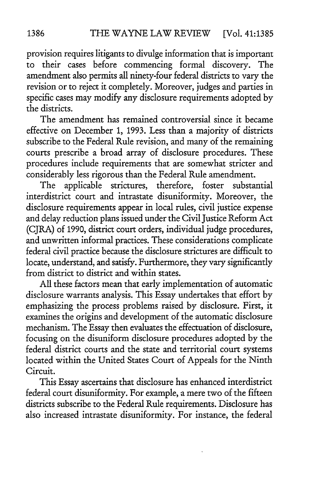provision requires litigants to divulge information that is important to their cases before commencing formal discovery. The amendment also permits all ninety-four federal districts to vary the revision or to reject it completely. Moreover, judges and parties in specific cases may modify any disclosure requirements adopted by the districts.

The amendment has remained controversial since it became effective on December 1, 1993. Less than a majority of districts subscribe to the Federal Rule revision, and many of the remaining courts prescribe a broad array of disclosure procedures. These procedures include requirements that are somewhat stricter and considerably less rigorous than the Federal Rule amendment.

The applicable strictures, therefore, foster substantial interdistrict court and intrastate disuniformity. Moreover, the disclosure requirements appear in local rules, civil justice expense and delay reduction plans issued under the Civil Justice Reform Act (CJRA) of 1990, district court orders, individual judge procedures, and unwritten informal practices. These considerations complicate federal civil practice because the disclosure strictures are difficult to locate, understand, and satisfy. Furthermore, they vary significantly from district to district and within states.

All these factors mean that early implementation of automatic disclosure warrants analysis. This Essay undertakes that effort by emphasizing the process problems raised by disclosure. First, it examines the origins and development of the automatic disclosure mechanism. The Essay then evaluates the effectuation of disclosure, focusing on the disuniform disclosure procedures adopted by the federal district courts and the state and territorial court systems located within the United States Court of Appeals for the Ninth Circuit.

This Essay ascertains that disclosure has enhanced interdistrict federal court disuniformity. For example, a mere two of the fifteen districts subscribe to the Federal Rule requirements. Disclosure has also increased intrastate disuniformity. For instance, the federal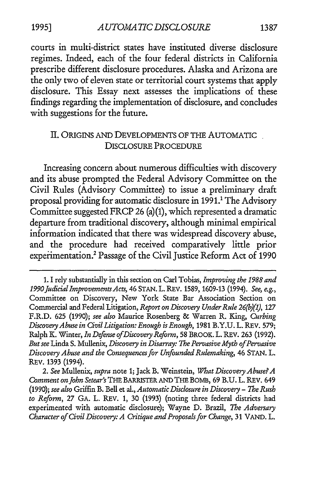courts in multi-district states have instituted diverse disclosure regimes. Indeed, each of the four federal districts in California prescribe different disclosure procedures. Alaska and Arizona are the only two of eleven state or territorial court systems that apply disclosure. This Essay next assesses the implications of these findings regarding the implementation of disclosure, and concludes with suggestions for the future.

#### II. ORIGINS AND DEVELOPMENTS OF THE AUTOMATIC DISCLOSURE PROCEDURE

Increasing concern about numerous difficulties with discovery and its abuse prompted the Federal Advisory Committee on the Civil Rules (Advisory Committee) to issue a preliminary draft proposal providing for automatic disclosure in 1991.<sup>1</sup> The Advisory Committee suggestedFRCP 26 (a)(1), which represented a dramatic departure from traditional discovery, although minimal empirical information indicated that there was widespread discovery abuse, and the procedure had received comparatively little prior experimentation.2 Passage of the Civil Justice Reform Act of 1990

2. *See* Mullenix, *supra* note 1; Jack B. Weinstein, *What Discovery Abuse? A Comment on john Setear's* THE BARRISTER AND THE BOMB, 69 B.U. L. REV. 649 (1990); *see also* Griffin B. Bell et al., *Automatic Disclosure in Discovery- 1be Rush to Reform,* 27 GA. L. REV. 1, 30 {1993) (noting three federal districts had experimented with automatic disclosure); Wayne D. Brazil, *7be Adversary Character of Civil Discovery: A Critique and Proposals for Change, 31 VAND. L.* 

<sup>1.</sup> I rely substantially in this section on Carl Tobias, *Improving the 1988 and 1990fudicialimprovementsActs,* 46 STAN.L.REV. 1589, 1609-13 (1994). *See, e.g.,*  Committee on Discovery, New York State Bar Association Section on Commercial and Federal Litigation, *Report on Discovery Under Rule 26{b}(1),* 127 F.R.D. 625 (1990); *see also* Maurice Rosenberg & Warren R. King, *Curbing Discovery Abuse in Civil Litigation: Enough is Enough,* 1981 B.Y.U. L. REV. 579; Ralph K. Winter, *In Defense of Discovery Reform,* 58 BROOK. L. REV. 263 (1992). *But see* Linda S. Mullenix, *Discovery in Disarray: 1be Pervasive Myth of Pervasive Discovery Abuse and the Consequences for Unfounded Rulemaking,* 46 STAN. L. REV. 1393 (1994).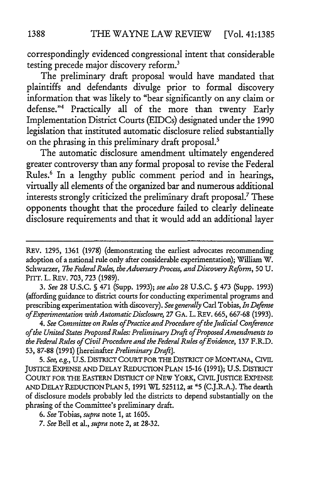correspondingly evidenced congressional intent that considerable testing precede major discovery reform.<sup>3</sup>

The preliminary draft proposal would have mandated that plaintiffs and defendants divulge prior to formal discovery information that was likely to "bear significantly on any claim or defense."<sup>4</sup> Practically all of the more than twenty Early Implementation District Courts (EIDCs) designated under the 1990 legislation that instituted automatic disclosure relied substantially on the phrasing in this preliminary draft proposal.<sup>5</sup>

The automatic disclosure amendment ultimately engendered greater controversy than any formal proposal to revise the Federal Rules.<sup>6</sup> In a lengthy public comment period and in hearings, virtually all elements of the organized bar and numerous additional interests strongly criticized the preliminary draft proposal.7 These opponents thought that the procedure failed to clearly delineate disclosure requirements and that it would add an additional layer

3. *See* 28 U.S.C. § 471 (Supp. 1993); *see also* 28 U.S.C. § 473 (Supp. 1993) (affording guidance to district courts for conducting experimental programs and prescribing experimentation with discovery). *See generally* Carl Tobias, *In Defense of Experimentation with Automatic Disclosure,* 27 GA. L. REV. 665, 667-68 (1993).

4. *See Committee on Rules of Practice and Procedure of the judicial Conference of the United States Proposed Rules: Preliminary Draft of Proposed Amendments to the Federal Rules of Civil Procedure and the Federal Rules of Evidence,* 137 F.R.D. 53, 87-88 (1991) [hereinafter *Preliminary Draft].* 

5. *See, e.g.,* U.S. DISTRICT COURT FOR THE DISTRICT OF MONTANA, CIVIL JUSTICE EXPENSE AND DELAY REDUCTION PLAN 15-16 (1991); U.S. DISTRICT COURT FOR THE EASTERN DISTRICT OF NEW YORK, CIVIL JUSTICE EXPENSE AND DELAY REDUCTION PLAN 5, 1991 WL 525112, at \*5 (C.J.R.A.). The dearth of disclosure models probably led the districts to depend substantially on the phrasing of the Committee's preliminary draft.

7. *See* Bell et al., *supra* note 2, at 28-32.

REV. 1295, 1361 (1978) (demonstrating the earliest advocates recommending adoption of a national rule only after considerable experimentation); William W. Schwarzer, *1be Federal Rules, the Adversary Process, and Discovery Refonn,* 50 U. PITT. L. REV. 703, 723 (1989).

<sup>6.</sup> *See* Tobias, *supra* note 1, at 1605.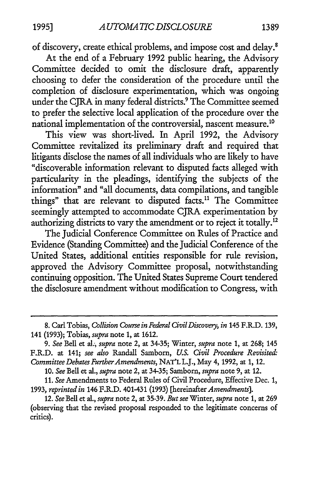of discovery, create ethical problems, and impose cost and delay.8

At the end of a February 1992 public hearing, the Advisory Committee decided to omit the disclosure draft, apparently choosing to defer the consideration of the procedure until the completion of disclosure experimentation, which was ongoing under the CJRA in many federal districts.9 The Committee seemed to prefer the selective local application of the procedure over the national implementation of the controversial, nascent measure.10

This view was short-lived. In April 1992, the Advisory Committee revitalized its preliminary draft and required that litigants disclose the names of all individuals who are likely to have "discoverable information relevant to disputed facts alleged with particularity in the pleadings, identifying the subjects of the information" and "all documents, data compilations, and tangible things" that are relevant to disputed facts.<sup>11</sup> The Committee seemingly attempted to accommodate CJRA experimentation by authorizing districts to vary the amendment or to reject it totally.<sup>12</sup>

The Judicial Conference Committee on Rules of Practice and Evidence (Standing Committee) and the Judicial Conference of the United States, additional entities responsible for rule revision, approved the Advisory Committee proposal, notwithstanding continuing opposition. The United States Supreme Court tendered the disclosure amendment without modification to Congress, with

10. *See* Bell et al., *supra* note 2, at 34-35; Sambom, *supra* note 9, at 12.

11. *See* Amendments to Federal Rules of Civil Procedure, Effective Dec. 1, 1993, *reprinted in* 146 F.R.D. 401-431 (1993) [hereinafter *Amendments].* 

<sup>8.</sup> Carl Tobias, *Collision Course in Federal Civil Discovery, in* 145 F.R.D. 139, 141 {1993); Tobias, *supra* note 1, at 1612.

<sup>9.</sup> *See* Bell et al:, *supra* note 2, at 34-35; Winter, *supra* note 1, at 268; 145 F.R.D. at 141; *see also* Randall Sambom, *U.S. Civil Procedure Revisited: Committee Debates Further Amendments,* NAT'L L.J., May 4, 1992, at 1, 12.

<sup>12.</sup> *See* Bell et al., *supra* note 2, at 35-39. *But see* Winter, *supra* note 1, at 269 {observing that the revised proposal responded to the legitimate concerns of critics).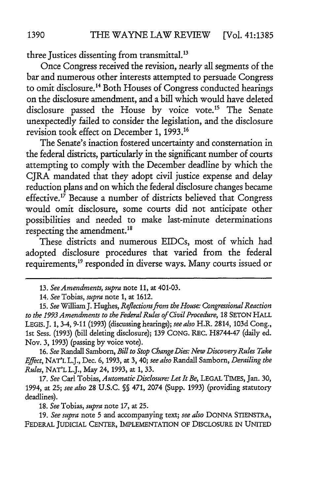three Justices dissenting from transmittal. <sup>13</sup>

Once Congress received the revision, nearly all segments of the bar and numerous other interests attempted to persuade Congress to omit disclosure.14 Both Houses of Congress conducted hearings on the disclosure amendment, and a bill which would have deleted disclosure passed the House by voice vote.<sup>15</sup> The Senate unexpectedly failed to consider the legislation, and the disclosure revision took effect on December 1, 1993.16

The Senate's inaction fostered uncertainty and consternation in the federal districts, particularly in the significant number of courts attempting to comply with the December deadline by which the CJRA mandated that they adopt civil justice expense and delay reduction plans and on which the federal disclosure changes became effective.<sup>17</sup> Because a number of districts believed that Congress would omit disclosure, some courts did not anticipate other possibilities and needed to make last-minute determinations respecting the amendment.<sup>18</sup>

These districts and numerous EIDCs, most of which had adopted disclosure procedures that varied from the federal requirements, 19 responded in diverse ways. Many courts issued or

16. *See* Randall Sambom, *Bill to Stop Change Dies: New Discovery Rules Take Effect,* NAT'L L.J., Dec. 6, 1993, at 3, 40; *see also* Randall Sam born, *Derailing the Rules,* NAT'LL.J., May 24, 1993, at 1, 33.

17. *See* Carl Tobias, *Automatic Disclosure: Let It Be,* LEGAL TIMES, Jan. 30, 1994, at 25; *see also* 28 U.S.C. *§§* 471, 2074 (Supp. 1993) (providing statutory deadlines).

18. *See* Tobias, *supra* note 17, at 25.

19. *See supra* note 5 and accompanying text; *see also* DONNA STIENSTRA, FEDERAL JUDICIAL CENTER, IMPLEMENTATION OF DISCLOSURE IN UNITED

<sup>13.</sup> *See Amendments, supra* note 11, at 401-03.

<sup>14.</sup> *See Tobias, supra* note 1, at 1612.

<sup>15.</sup> *See* William J. Hughes, *Reflections from the House: Congressional Reaction to the 1993 Amendments to the Federal Rules of Civil Procedure,* 18 SETON HALL LEGIS.J. 1, 3-4, 9-11 (1993) (discussing hearings); *see also* H.R. 2814, 103d Cong., 1st Sess. (1993) (bill deleting disclosure); 139 CONG. REC. H8744-47 (daily ed. Nov. 3, 1993) (passing by voice vote).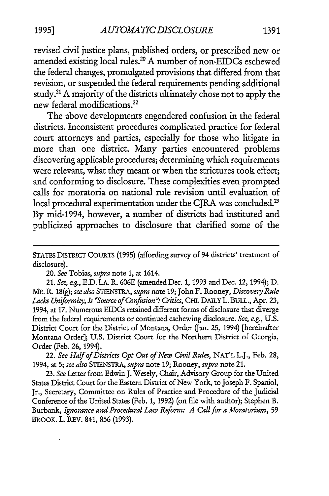revised civil justice plans, published orders, or prescribed new or amended existing local rules.20 A number of non-EIDCs eschewed the federal changes, promulgated provisions that differed from that revision, or suspended the federal requirements pending additional study. 21 A majority of the districts ultimately chose not to apply the new federal modifications. 22

The above developments engendered confusion in the federal districts. Inconsistent procedures complicated practice for federal court attorneys and parties, especially for those who litigate in more than one district. Many parties encountered problems discovering applicable procedures; determining which requirements were relevant, what they meant or when the strictures took effect; and conforming to disclosure. These complexities even prompted calls for moratoria on national rule revision until evaluation of local procedural experimentation under the CJRA was concluded.<sup>23</sup> By mid-1994, however, a number of districts had instituted and publicized approaches to disclosure that clarified some of the

20. *See* Tobias, *supra* note 1, at 1614.

21. *See, e.g.,* E.D. LA. R. 606E (amended Dec. 1, 1993 and Dec. 12, 1994); D. ME. R 18(g); *see also* STIENSTRA, *supra* note 19; John F. Rooney, *Discovery Rule*  Lacks Uniformity, *Is "Source of Confusion": Critics*, CHI. DAILY L. BULL., Apr. 23, 1994, at 17. Numerous EIDCs retained different forms of disclosure that diverge from the federal requirements or continued eschewing disclosure. *See, e.g.,* U.S. District Coun for the District of Montana, Order Gan. 25, 1994) [hereinafter Montana Order]; U.S. District Coun for the Northern District of Georgia, Order (Feb. 26, 1994).

22. *See Half of Districts Opt Out of New Civil Rules,* NAT'L L.J., Feb. 28, 1994, at 5; *see also* STIENSTRA, *supra* note 19; Rooney, *supra* note 21.

23. See Letter from Edwin J. Wesely, Chair, Advisory Group for the United States District Court for the Eastern District of New Yark, to Joseph F. Spaniol, Jr., Secretary, Committee on Rules of Practice and Procedure of the Judicial Conference of the United States (Feb. 1, 1992) (on file with author); Stephen B. Burbank, *Ignorance and Procedural Law Refonn: A Call for a Moratorium,* 59 BROOK. L. REV. 841, 856 {1993).

STATES DISTRICT COURTS (1995) (affording survey of 94 districts' treatment of disclosure).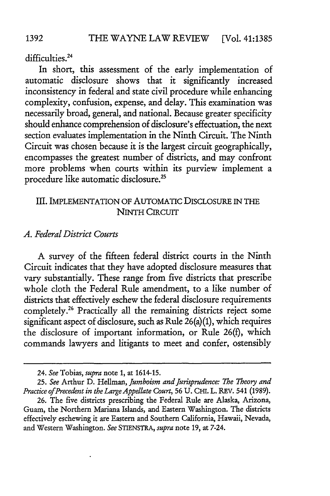difficulties.<sup>24</sup>

In short, this assessment of the early implementation of automatic disclosure shows that it significantly increased inconsistency in federal and state civil procedure while enhancing complexity, confusion, expense, and delay. This examination was necessarily broad, general, and national. Because greater specificity should enhance comprehension of disclosure's effectuation, the next section evaluates implementation in the Ninth Circuit. The Ninth Circuit was chosen because it is the largest circuit geographically, encompasses the greatest number of districts, and may confront more problems when courts within its purview implement a procedure like automatic disclosure. 25

### III. IMPLEMENTATION OF AUTOMATIC DISCLOSURE IN THE **NINTH CIRCUIT**

#### *A. Federal District Courts*

A survey of the fifteen federal district courts in the Ninth Circuit indicates that they have adopted disclosure measures that vary substantially. These range from five districts that prescribe whole cloth the Federal Rule amendment, to a like number of districts that effectively eschew the federal disclosure requirements completely.26 Practically all the remaining districts reject some significant aspect of disclosure, such as Rule 26{a){l), which requires the disclosure of important information, or Rule 26{t), which commands lawyers and litigants to meet and confer, ostensibly

<sup>24.</sup> *See* Tobias, *supra* note 1, at 1614-15.

<sup>25.</sup> *See* Arthur D. Hellman, *]umboism and Jurisprudence: 1be 1beory and Practice of Precedent in the Large Appellate Court,* 56 U. CHI. L. REV. 541 (1989).

<sup>26.</sup> The five districts prescribing the Federal Rule are Alaska, Arizona, Guam, the Northern Mariana Islands, and Eastern Washington. The districts effectively eschewing it are Eastern and Southern California, Hawaii, Nevada, and Western Washington. *See* STIENSTRA, *supra* note 19, at 7-24.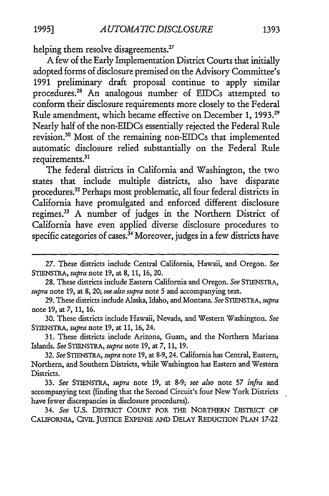helping them resolve disagreements.<sup>27</sup>

A few of the Early Implementation District Courts that initially adopted forms of disclosure premised on the Advisory Committee's 1991 preliminary draft proposal continue to apply similar procedures.28 An analogous number of EIDCs attempted to conform their disclosure requirements more closely to the Federal Rule amendment, which became effective on December 1, 1993.29 Nearly half of the non-EIDCs essentially rejected the Federal Rule revision.<sup>30</sup>Most of the remaining non-EIDCs that implemented automatic disclosure relied substantially on the Federal Rule requirements.<sup>31</sup>

The federal districts in California and Washington, the two states that include multiple districts, also have disparate procedures.32 Perhaps most problematic, all four federal districts in California have promulgated and enforced different disclosure regimes.33 A number of judges in the Northern District of California have even applied diverse disclosure procedures to specific categories of cases.<sup>34</sup> Moreover, judges in a few districts have

<sup>27.</sup> These districts include Central California, Hawaii, and Oregon. *See*  STIENSTRA, *supra* note 19, at 8, 11, 16, 20.

<sup>28.</sup> These districts include Eastern California and Oregon. *See* STIENSTRA, *supra* note 19, at 8, 20; *see also supra* note 5 and accompanying text.

<sup>29.</sup> These districts include Alaska, Idaho, and Montana. *See* STIENSTRA, *supra*  note 19, at 7, 11, 16.

<sup>30.</sup> These districts include Hawaii, Nevada, and Western Washington. *See*  STIENSTRA, *supra* note 19, at 11, 16, 24.

<sup>31.</sup> These districts include Arizona, Guam, and the Northern Mariana Islands. *See* STIENSTRA, *supra* note 19, at 7, 11, 19.

<sup>32.</sup> *See* STIENSTRA, *supra* note 19, at 8-9, 24. California has Central, Eastern, Northern, and Southern Districts, while Washington has Eastern and Western Districts.

<sup>33.</sup> *See* STIENSTRA, *supra* note 19, at 8-9; *see also* note 57 *infra* and accompanying text (finding that the Second Circuit's four New York Districts have fewer discrepancies in disclosure procedures).

<sup>34.</sup> *See* U.S. DISTRICT COURT FOR THE NORTHERN DISTRICT OF CALIFORNIA, CIVIL JUSTICE EXPENSE AND DELAY REDUCTION PLAN 17-22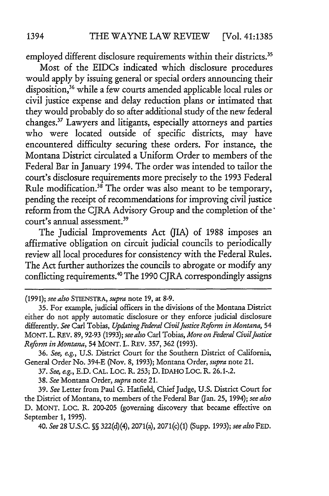employed different disclosure requirements within their districts.<sup>35</sup>

Most of the EIDCs indicated which disclosure procedures would apply by issuing general or special orders announcing their disposition,<sup>36</sup> while a few courts amended applicable local rules or civil justice expense and delay reduction plans or intimated that they would probably do so after additional study of the new federal changes. 37 Lawyers and litigants, especially attorneys and parties who were located outside of specific districts, may have encountered difficulty securing these orders. For instance, the Montana District circulated a Uniform Order to members of the Federal Bar in January 1994. The order was intended to tailor the court's disclosure requirements more precisely to the 1993 Federal Rule modification.<sup>38</sup> The order was also meant to be temporary, pending the receipt of recommendations for improving civil justice reform from the CJRA Advisory Group and the completion of the· court's annual assessment.<sup>39</sup>

The Judicial Improvements Act GIA) of 1988 imposes an affirmative obligation on circuit judicial councils to periodically review all local procedures for consistency with the Federal Rules. The Act further authorizes the councils to abrogate or modify any conflicting requirements.<sup>40</sup> The 1990 CJRA correspondingly assigns

{1991); *see also* STIENSTRA, *supra* note 19, at 8-9.

36. *See, e.g.,* U.S. District Court for the Southern District of California, General Order No. 394-E (Nov. 8, 1993); Montana Order, *supra* note 21.

37. *See, e.g.,* E.D. CAL. Loe. R. 253; D. IDAHO Loe. R. 26.1-.2.

38. *See* Montana Order, *supra* note 21.

39. *See* Letter from Paul G. Hatfield, Chief Judge, U.S. District Court for the District of Montana, to members of the Federal Bar Q"an. 25, 1994); *see also*  D. MONT. LOC. R. 200-205 (governing discovery that became effective on September 1, 1995).

40. *See* 28 U.S.C. §§ 322(d)(4), 2071(a), 2071(c)(1) (Supp. 1993); *see also* FED.

<sup>35.</sup> For example, judicial officers in the divisions of the Montana District either do not apply automatic disclosure or they enforce judicial disclosure differently. *See* Carl Tobias, *Updating Federal Civil Justice Reform in Montana,* 54 MONT. L. REV. 89, 92-93 (1993); *see also* Carl Tobias, *More on Federal Civil justice Reform in Montana,* 54 MONT. L. REV. 357, 362 {1993).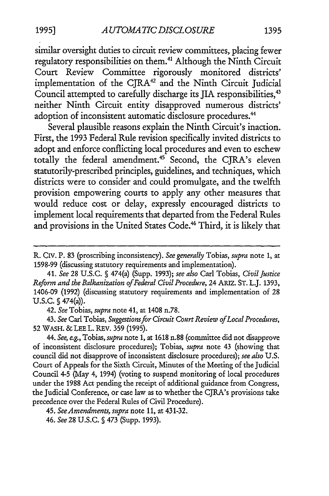similar oversight duties to circuit review committees, placing fewer regulatory responsibilities on them.<sup>41</sup> Although the Ninth Circuit Court Review Committee rigorously monitored districts' implementation of the CJRA<sup>42</sup> and the Ninth Circuit Judicial Council attempted to carefully discharge its JIA responsibilities,<sup>43</sup> neither Ninth Circuit entity disapproved numerous districts' adoption of inconsistent automatic disclosure procedures.<sup>44</sup>

Several plausible reasons explain the Ninth Circuit's inaction. First, the 1993 Federal Rule revision specifically invited districts to adopt and enforce conflicting local procedures and even to eschew totally the federal amendment.<sup>45</sup> Second, the CJRA's eleven statutorily-prescribed principles, guidelines, and techniques, which districts were to consider and could promulgate, and the twelfth provision empowering courts to apply any other measures that would reduce cost or delay, expressly encouraged districts to implement local requirements that departed from the Federal Rules and provisions in the United States Code.<sup>46</sup> Third, it is likely that

42. *See* Tobias, *supra* note 41, at 1408 n.78.

43. *See* Carl Tobias, *Suggestions for Circuit Court Review of Local Procedures,*  52 WASH. & LEE L. REV. 359 (1995).

44. *See, e.g.,* Tobias, *supra* note 1, at 1618 n.88 (committee did not disapprove of inconsistent disclosure procedures); Tobias, *supra* note 43 (showing that council did not disapprove of inconsistent disclosure procedures); *see also* U.S. Court of Appeals for the Sixth Circuit, Minutes of the Meeting of the Judicial Council 4-5 (May 4, 1994) (voting to suspend monitoring of local procedures under the 1988 Act pending the receipt of additional guidance from Congress, the Judicial Conference, or case law as to whether the CJRA's provisions take precedence over the Federal Rules of Civil Procedure).

R. CIV. P. 83 (proscribing inconsistency). *See generally* Tobias, *supra* note 1, at 1598-99 (discussing statutory requirements and implementation).

<sup>41.</sup> *See* 28 U.S.C. § 474(a) (Supp. 1993); *see also* Carl Tobias, *Civil Justice Reform and the Balkanization of Federal Civil Procedure,* 24 ARIZ. ST. L.J. 1393, 1406-09 (1992) (discussing statutory requirements and implementation of 28 U.S.C. § 474(a)).

<sup>45.</sup> *See Amendments, supra* note 11, at 431-32.

<sup>46.</sup> *See* 28 U.S.C. § 473 (Supp. 1993).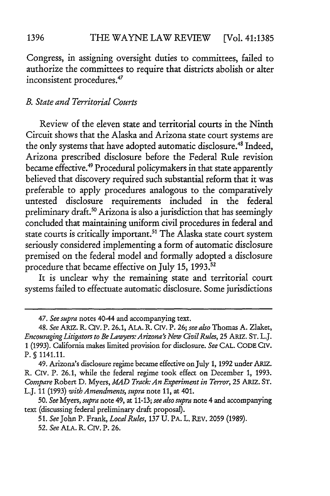Congress, in assigning oversight duties to committees, failed to authorize the committees to require that districts abolish or alter inconsistent procedures. 47

#### *B. State and Territorial Courts*

Review of the eleven state and territorial courts in the Ninth Circuit shows that the Alaska and Arizona state court systems are the only systems that have adopted automatic disclosure. 48 Indeed, Arizona prescribed disclosure before the Federal Rule revision became effective. 49 Procedural policymakers in that state apparently believed that discovery required such substantial reform that it was preferable to apply procedures analogous to the comparatively untested disclosure requirements included in the federal preliminary draft.<sup>50</sup> Arizona is also a jurisdiction that has seemingly concluded that maintaining uniform civil procedures in federal and state courts is critically important.<sup>51</sup> The Alaska state court system seriously considered implementing a form of automatic disclosure premised on the federal model and formally adopted a disclosure procedure that became effective on July 15, 1993. $52$ 

It is unclear why the remaining state and territorial court systems failed to effectuate automatic disclosure. Some jurisdictions

<sup>47.</sup> *See supra* notes 40-44 and accompanying text.

<sup>48.</sup> See ARIZ. R. CIV. P. 26.1, ALA. R. CIV. P. 26; see also Thomas A. Zlaket, *Encouraging Litigators to Be Lawyers: Arizona's New Civil Rules,* 25 ARIZ. ST. L.J. 1 (1993). California makes limited provision for disclosure. *See* CAL. CODE Crv. P. § 1141.11.

<sup>49.</sup> Arizona's disclosure regime became effective on July 1, 1992 under ARIZ. R. Crv. P. 26.1, while the federal regime took effect on December 1, 1993. *Compare* Robert D. Myers, *MAD Track: An Experiment in Terror,* 25 ARIZ. ST. L.J. 11 (1993) *with Amendments, supra* note 11, at 401.

<sup>50.</sup> *See* Myers, *supra* note 49, at 11-13; *see also supra* note 4 and accompanying text (discussing federal preliminary draft proposal).

<sup>51.</sup> *See* John P. Frank, *Local Rules,* 137 U. PA. L. REV. 2059 (1989). 52. *See* ALA. R. Crv. P. 26.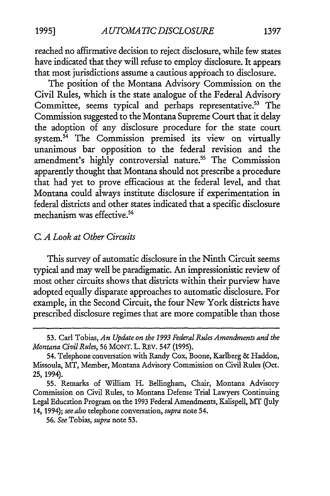reached no affirmative decision to reject disclosure, while few states have indicated that they will refuse to employ disclosure. It appears that most jurisdictions assume a cautious approach to disclosure.

The position of the Montana Advisory Commission on the Civil Rules, which is the state analogue of the Federal Advisory Committee, seems typical and perhaps representative.<sup>53</sup> The Commission suggested to the Montana Supreme Court that it delay the adoption of any disclosure procedure for the state court system. $54$  The Commission premised its view on virtually unanimous bar opposition to the federal revision and the amendment's highly controversial nature.<sup>55</sup> The Commission apparently thought that Montana should not prescribe a procedure that had yet to prove efficacious at the federal level, and that Montana could always institute disclosure if experimentation in federal districts and other states indicated that a specific disclosure mechanism was effective. 56

#### C. *A Look at Other Circuits*

This survey of automatic disclosure in the Ninth Circuit seems typical and may well be paradigmatic. An impressionistic review of most other circuits shows that districts within their purview have adopted equally disparate approaches to automatic disclosure. For example, in the Second Circuit, the four New York districts have prescribed disclosure regimes that are more compatible than those

<sup>53.</sup> Carl Tobias, *An Update on the 1993 Federal Rules Amendments and the Montana Civil Rules,* 56 MONT. L. REV. 547 (1995).

<sup>54.</sup> Telephone conversation with Randy Cox, Boone, Karlberg & Haddon, Missoula, MT, Member, Montana Advisory Commission on Civil Rules (Oct. 25, 1994).

<sup>55.</sup> Remarks of William H. Bellingham, Chair, Montana Advisory Commission on Civil Rules, to Montana Defense Trial Lawyers Continuing Legal Education Program on the 1993 Federal Amendments, Kalispell, MT (July 14, 1994); *see also* telephone conversation, *supra* note 54.

<sup>56.</sup> *See* Tobias, *supra* note 53.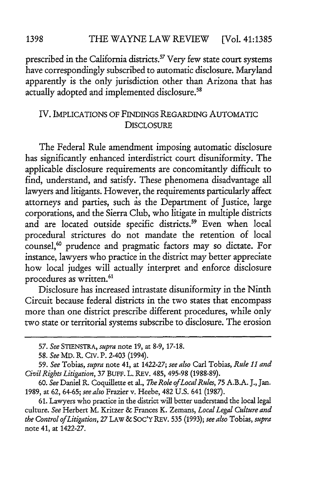prescribed in the California districts.<sup>57</sup> Very few state court systems have correspondingly subscribed to automatic disclosure. Maryland apparently is the only jurisdiction other than Arizona that has actually adopted and implemented disclosure. 58

### IV. IMPLICATIONS OF FINDINGS REGARDING AUTOMATIC DISCLOSURE

The Federal Rule amendment imposing automatic disclosure has significantly enhanced interdistrict court disuniformity. The applicable disclosure requirements are concomitantly difficult to find, understand, and satisfy. These phenomena disadvantage all lawyers and litigants. However, the requirements particularly affect attorneys and parties, such as the Department of Justice, large corporations, and the Sierra Club, who litigate in multiple districts and are located outside specific districts.<sup>59</sup> Even when local procedural strictures do not mandate the retention of local counsel,<sup>60</sup> prudence and pragmatic factors may so dictate. For instance, lawyers who practice in the district may better appreciate how local judges will actually interpret and enforce disclosure procedures as written. 61

Disclosure has increased intrastate disuniformity in the Ninth Circuit because federal districts in the two states that encompass more than one district prescribe different procedures, while only two state or territorial systems subscribe to disclosure. The erosion

<sup>57.</sup> *See* STIENSTRA, *supra* note 19, at 8-9, 17-18.

<sup>58.</sup> *See* MD. R. CIV. P. 2-403 (1994).

<sup>59.</sup> *See* Tobias, *supra* note 41, at 1422-27; *see also* Carl Tobias, *Rule 11 and Civil Rights Litigation,* 37 BUFF. L. REV. 485, 495-98 (1988-89).

<sup>60.</sup> *See* Daniel R. Coquillette et al., *7be Role of Local Rules,* 75 A.B.A. J., Jan. 1989, at 62, 64-65; *see also* Frazier v. Heebe, 482 U.S. 641 (1987).

<sup>61.</sup> Lawyers who practice in the district will better understand the local legal culture. *See* Herbert M. Kritzer & Frances K. Zemans, *Local Legal Culture and the Control of Litigation,* 27 LAW &SOC'YREV. 535 (1993); *see also* Tobias, *supra*  note 41, at 1422-27.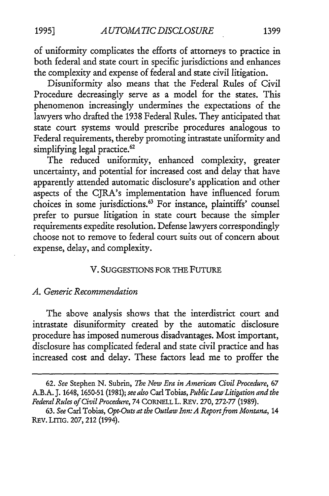of uniformity complicates the efforts of attorneys to practice in both federal and state court in specific jurisdictions and enhances the complexity and expense of federal and state civil litigation.

Disuniformity also means that the Federal Rules of Civil Procedure decreasingly serve as a model for the states. This phenomenon increasingly undermines the expectations of the lawyers who drafted the 1938 Federal Ruies. They anticipated that state court systems would prescribe procedures analogous to Federal requirements, thereby promoting intrastate uniformity and simplifying legal practice.<sup>62</sup>

The reduced uniformity, enhanced complexity, greater uncertainty, and potential for increased cost and delay that have apparently attended automatic disclosure's application and other aspects of the CJRA's implementation have influenced forum choices in some jurisdictions.63 For instance, plaintiffs' counsel prefer to pursue litigation in state court because the simpler requirements expedite resolution. Defense lawyers correspondingly choose not to remove to federal court suits out of concern about expense, delay, and complexity.

#### V. SUGGESTIONS FOR THE FUTURE

#### *A. Generic Recommendation*

The above analysis shows that the interdistrict court and intrastate disuniformity created by the automatic disclosure procedure has imposed numerous disadvantages. Most important, disclosure has complicated federal and state civil practice and has increased cost and delay. These factors lead me to proffer the

<sup>62.</sup> *See* Stephen N. Subrin, *The New Era in American Civil Procedure,* 67 A.B.A. J. 1648, 1650-51 (1981); *see also* Carl Tobias, *Public Law Litigation and the Federal Rules of Civil Procedure,* 74 CORNELL L. REV. 270, 272-77 {1989).

<sup>63.</sup> *See* Carl Tobias, *Opt-Outs at the Outlaw Inn: A Report from Montana,* 14 REV. LITIG. 207, 212 (1994).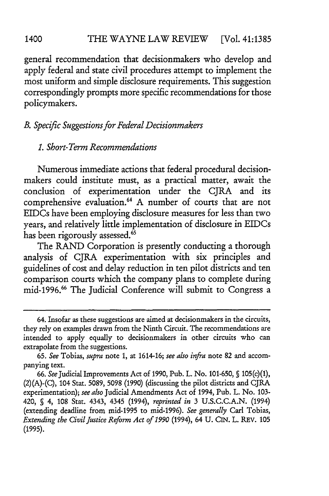general recommendation that decisionmakers who develop and apply federal and state civil procedures attempt to implement the most uniform and simple disclosure requirements. This suggestion correspondingly prompts more specific recommendations for those policymakers.

# *B. Specific Suggestions for Federal Decisionmakers*

#### *1. Short-Term Recommendations*

Numerous immediate actions that federal procedural decisionmakers could institute must, as a practical matter, await the conclusion of experimentation under the CJRA and its comprehensive evaluation. 64 A number of courts that are not EIDCs have been employing disclosure measures for less than two years, and relatively little implementation of disclosure in EIDCs has been rigorously assessed.<sup>65</sup>

The RAND Corporation is presently conducting a thorough analysis of CJRA experimentation with six principles and guidelines of cost and delay reduction in ten pilot districts and ten comparison courts which the company plans to complete during mid-1996.66 The Judicial Conference will submit to Congress a

<sup>64.</sup> Insofar as these suggestions are aimed at decisionmakers in the circuits, they rely on examples drawn from the Ninth Circuit. The recommendations are intended to apply equally to decisionmakers in other circuits who can extrapolate from the suggestions.

<sup>65.</sup> *See* Tobias, *supra* note 1, at 1614-16; *see also infra* note 82 and accompanying text.

<sup>66.</sup> *See* Judicial Improvements Act of 1990, Pub. L. No. 101-650, § 105(c)(1),  $(2)(A)$ - $(C)$ , 104 Stat. 5089, 5098 (1990) (discussing the pilot districts and CJRA experimentation); *see also* Judicial Amendments Act of 1994, Pub. L. No. 103- 420, § 4, 108 Stat. 4343, 4345 (1994), *reprinted in* 3 U.S.C.C.A.N. (1994) (extending deadline from mid-1995 to mid-1996). *See generally* Carl Tobias, *Extending the Civil Justice Reform Act of 1990* (1994), 64 U. CIN. L. REV. 105 (1995).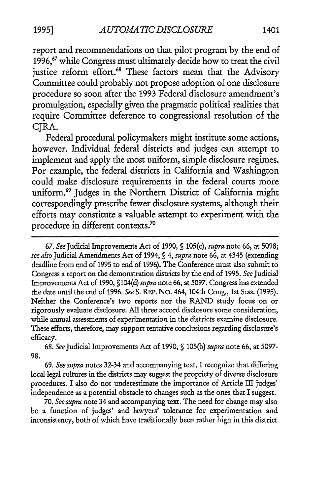report and recommendations on that pilot program by the end of 1996,<sup>67</sup> while Congress must ultimately decide how to treat the civil justice reform effort.<sup>68</sup> These factors mean that the Advisory Committee could probably not propose adoption of one disclosure procedure so soon after the 1993 Federal disclosure amendment's promulgation, especially given the pragmatic political realities that require Committee deference to congressional resolution of the CJRA.

Federal procedural policymakers might institute some actions, however. Individual federal districts and judges can attempt to implement and apply the most uniform, simple disclosure regimes. For example, the federal districts in California and Washington could make disclosure requirements in the federal courts more uniform.69 Judges in the Northern District of California might correspondingly prescribe fewer disclosure systems, although their efforts may constitute a valuable attempt to experiment with the procedure in different contexts.70

67. *See* Judicial Improvements Act of 1990, § 105{c), *supra* note 66, at 5098; *see also* Judicial Amendments Act of 1994, § 4, *supra* note 66, at 4345 {extending deadline from end of 1995 to end of 1996). The Conference must also submit to Congress a report on the demonstration districts by the end of 1995. *See* Judicial Improvements Act of 1990, §104(d) *supra* note 66, at 5097. Congress has extended the date until the end of 1996. *See* S. REP. No. 464, 104th Cong., 1st Sess. (1995). Neither the Conference's two reports nor the RAND study focus on or rigorously evaluate disclosure. All three accord disclosure some consideration, while annual assessments of experimentation in the districts examine disclosure. These efforts, therefore, may support tentative conclusions regarding disclosure's efficacy.

68. *See* Judicial Improvements Act of 1990, § 105(b) *supra* note 66, at 5097- 98.

69. *See supra* notes 32-34 and accompanying text. I recognize that differing local legal cultures in the districts may suggest the propriety of diverse disclosure procedures. I also do not underestimate the importance of Article III judges' independence as a potential obstacle to changes such as the ones that I suggest.

70. *See supra* note 34 and accompanying text. The need for change may also be a function of judges' and lawyers' tolerance for experimentation and inconsistency, both of which have traditionally been rather high in this district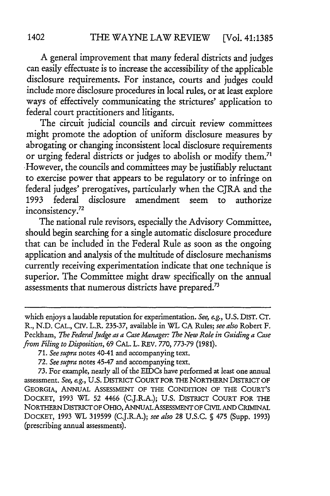A general improvement that many federal districts and judges can easily effectuate is to increase the accessibility of the applicable disclosure requirements. For instance, courts and judges could include more disclosure procedures in local rules, or at least explore ways of effectively communicating the strictures' application to federal court practitioners and litigants.

The circuit judicial councils and circuit review committees might promote the adoption of uniform disclosure measures by abrogating or changing inconsistent local disclosure requirements or urging federal districts or judges to abolish or modify them.<sup>71</sup> -However, the councils and committees may be justifiably reluctant to exercise power that appears to be regulatory or to infringe on federal judges' prerogatives, particularly when the CJRA and the 1993 federal disclosure amendment seem to authorize inconsistency.72

The national rule revisors, especially the Advisory Committee, should begin searching for a single automatic disclosure procedure that can be included in the Federal Rule as soon as the ongoing application and analysis of the multitude of disclosure mechanisms currently receiving experimentation indicate that one technique is superior. The Committee might draw specifically on the annual assessments that numerous districts have prepared.<sup>73</sup>

which enjoys a laudable reputation for experimentation. *See, e.g.,* U.S. DIST. CT. R., N.D. CAL., Crv. L.R. 235-37, available in WL CA Rules; *see also* Robert F. Peckham, *The Federal judge as a Case Manager: The New Role in Guiding a Case from Filing to Disposition,* 69 CAL. L. REV. 770, 773-79 (1981).

<sup>71.</sup> *See supra* notes 40-41 and accompanying text.

<sup>72.</sup> *See supra* notes 45-47 and accompanying text.

<sup>73.</sup> For example, nearly all of the EIDCs have performed at least one annual assessment. *See, e.g.,* U.S. DISTRICT COURT FOR THE NORTHERN DISTRICT OF GEORGIA, ANNUAL ASSESSMENT OF THE CONDITION OF THE COURT'S DOCK.ET, 1993 WL 52 4466 (C.J.R.A.); U.S. DISTRICT COURT FOR THE NORTHERN DISTRICT OF OHIO, ANNUAL ASSESSMENT OF CIVIL AND CRIMINAL DOCKET, 1993 WL 319599 (C.J.R.A.); *see also* 28 U.S.C. § 475 (Supp. 1993) (prescribing annual assessments).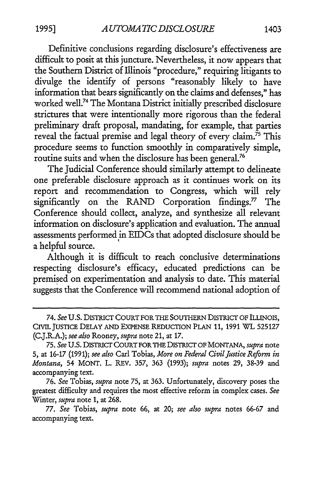Definitive conclusions regarding disclosure's effectiveness are difficult to posit at this juncture. Nevertheless, it now appears that the Southern District of Illinois "procedure," requiring litigants to divulge the identify of persons "reasonably likely to have information that bears significantly on the claims and defenses," has worked well.74 The Montana District initially prescribed disclosure strictures that were intentionally more rigorous than the federal preliminary draft proposal, mandating, for example, that parties reveal the factual premise and legal theory of every claim.<sup>75</sup> This procedure seems to function smoothly in comparatively simple, routine suits and when the disclosure has been general.<sup>76</sup>

The Judicial Conference should similarly attempt to delineate one preferable disclosure approach as it continues work on its report and recommendation to Congress, which will rely significantly on the RAND Corporation findings.<sup>77</sup> The Conference should collect, analyze, and synthesize all relevant information on disclosure's application and evaluation. The annual assessments performed in EIDCs that adopted disclosure should be a helpful source.

Although it is difficult to reach conclusive determinations respecting disclosure's efficacy, educated predictions can be premised on experimentation and analysis to date. This material suggests that the Conference will recommend national adoption of

<sup>74.</sup> See U.S. DISTRICT COURT FOR THE SOUTHERN DISTRICT OF ILLINOIS, CIVIL JUSTICE DELAY AND EXPENSE REDUCTION PLAN 11, 1991 WL 525127 (C.J.R.A.); *see also* Rooney, *supra* note 21, at 17.

<sup>75.</sup> *See* U.S. DISTRICT COURT FOR THE DISTRICT OF MONTANA, *supra* note 5, at 16-17 (1991); *see also* Carl Tobias, *More on Federal Civil Justice Reform in Montana,* 54 MONT. L. REV. 357, 363 (1993); *supra* notes 29, 38-39 and accompanying text.

<sup>76.</sup> *See* Tobias, *supra* note 75, at 363. Unfortunately, discovery poses the greatest difficulty and requires the most effective reform in complex cases. *See*  Winter, *supra* note 1, at 268.

<sup>77.</sup> *See* Tobias, *supra* note 66, at 20; *see also supra* notes 66-67 and accompanying text.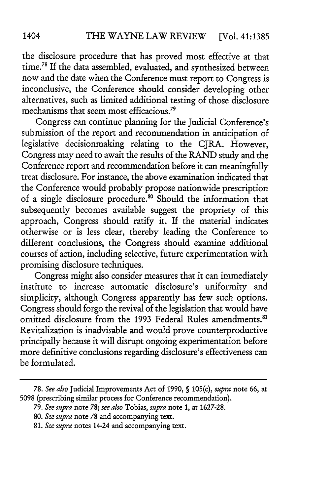the disclosure procedure that has proved most effective at that time.<sup>78</sup> If the data assembled, evaluated, and synthesized between now and the date when the Conference must report to Congress is inconclusive, the Conference should consider developing other alternatives, such as limited additional testing of those disclosure mechanisms that seem most efficacious.<sup>79</sup>

Congress can continue planning for the Judicial Conference's submission of the report and recommendation in anticipation of legislative decisionmaking relating to the CJRA. However, Congress may need to await the results of the RAND study and the Conference report and recommendation before it can meaningfully treat disclosure. For instance, the above examination indicated that the Conference would probably propose nationwide prescription of a single disclosure procedure.<sup>80</sup> Should the information that subsequently becomes available suggest the propriety of this approach, Congress should ratify it. If the material indicates otherwise or is less clear, thereby leading the Conference to different conclusions, the Congress should examine additional courses of action, including selective, future experimentation with promising disclosure techniques.

Congress might also consider measures that it can immediately institute to increase automatic disclosure's uniformity and simplicity, although Congress apparently has few such options. Congress should forgo the revival of the legislation that would have omitted disclosure from the 1993 Federal Rules amendments.<sup>81</sup> Revitalization is inadvisable and would prove counterproductive principally because it will disrupt ongoing experimentation before more definitive conclusions regarding disclosure's effectiveness can be formulated.

<sup>78.</sup> *See also* Judicial Improvements Act of 1990, § 105(c), *supra* note 66, at 5098 (prescribing similar process for Conference recommendation).

<sup>79.</sup> *See supra* note 78; *see also* Tobias, *supra* note 1, at 1627-28.

<sup>80.</sup> *See supra* note 78 and accompanying text.

<sup>81.</sup> *See supra* notes 14-24 and accompanying text.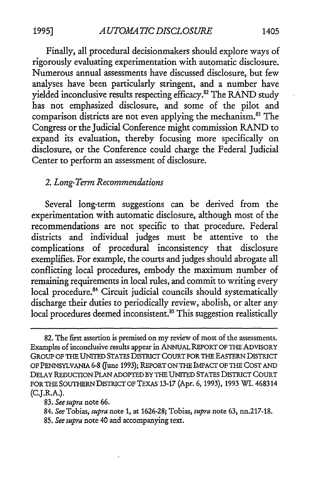Finally, all procedural decisionmakers should explore ways of

rigorously evaluating experimentation with automatic disclosure. Numerous annual assessments have discussed disclosure, but few analyses have been particularly stringent, and a number have yielded inconclusive results respecting efficacy.<sup>82</sup> The RAND study has not emphasized disclosure, and some of the pilot and comparison districts are not even applying the mechanism.<sup>83</sup> The Congress or the Judicial Conference might commission RAND to expand its evaluation, thereby focusing more specifically on disclosure, or the Conference could charge the Federal Judicial Center to perform an assessment of disclosure.

#### 2. *Long-Term Recommendations*

Several long-term suggestions can be derived from the experimentation with automatic disclosure, although most of the recommendations are not specific to that procedure. Federal districts and individual judges must be attentive to the complications of procedural inconsistency that disclosure exemplifies. For example, the courts and judges should abrogate all conflicting local procedures, embody the maximum number of remaining requirements in local rules, and commit to writing every local procedure.<sup>84</sup> Circuit judicial councils should systematically discharge their duties to periodically review, abolish, or alter any local procedures deemed inconsistent.<sup>85</sup> This suggestion realistically

85. *See supra* note 40 and accompanying text.

<sup>82.</sup> The first assertion is premised on my review of most of the assessments. Examples of inconclusive results appear in ANNUAL REPORT OF THE ADVISORY GROUP OF THE UNITED STATES DISTRICT COURT FOR THE EASTERN DISTRICT OF PENNSYLVANIA 6-8 (June 1993); REPORT ON THE IMPACT OF THE COST AND DELAY REDUCTION PLAN ADOPTED BY 1HE UNITED STATES DISTRICT COURT FOR THE SOUTHERN DISTRICT OF TEXAS 13-17 (Apr. 6, 1993), 1993 WL 468314 (C.J.R.A.).

<sup>83.</sup> *See supra* note 66.

<sup>84.</sup> *See* Tobias, *supra* note 1, at 1626-28; Tobias, *supra* note 63, nn.217-18.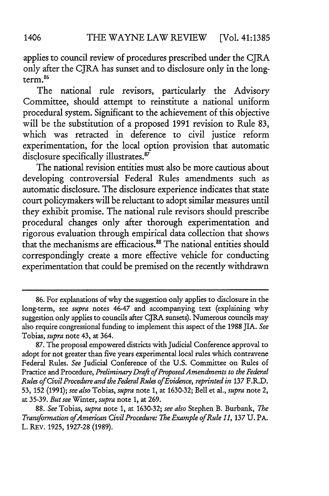applies to council review of procedures prescribed under the CJRA only after the CJRA has sunset and to disclosure only in the longterm. 86

The national rule revisors, particularly the Advisory Committee, should attempt to reinstitute a national uniform procedural system. Significant to the achievement of this objective will be the substitution of a proposed 1991 revision to Rule 83, which was retracted in deference to civil justice reform experimentation, for the local option provision that automatic disclosure specifically illustrates.<sup>87</sup>

The national revision entities must also be more cautious about developing controversial Federal Rules amendments such as automatic disclosure. The disclosure experience indicates that state court policymakers will be reluctant to adopt similar measures until they exhibit promise. The national rule revisors should prescribe procedural changes only after thorough experimentation and rigorous evaluation through empirical data collection that shows that the mechanisms are efficacious. 88 The national entities should correspondingly create a more effective vehicle for conducting experimentation that could be premised on the recently withdrawn

<sup>86.</sup> For explanations of why the suggestion only applies to disclosure in the long-term, see *supra* notes 46-47 and accompanying text (explaining why suggestion only applies to councils after CJRA sunsets). Numerous councils may also require congressional funding to implement this aspect of the 1988 JIA. *See*  Tobias, *supra* note 43, at 364.

<sup>87.</sup> The proposal empowered districts with Judicial Conference approval to adopt for not greater than five years experimental local rules which contravene Federal Rules. *See* Judicial Conference of the U.S. Committee on Rules of Practice and Procedure, *Preliminary Draft of Proposed Amendments to the Federal Rules of Civil Procedure and the Federal Rules of Evidence, reprinted in* 137 F.R.D. 53, 152 (1991); *see also* Tobias, *supra* note 1, at 1630-32; Bell et al., *supra* note 2, at 35-39. *But see* Winter, *supra* note 1, at 269.

<sup>88.</sup> *See* Tobias, *supra* note 1, at 1630-32; *see also* Stephen B. Burbank, *The Transfonnation of American Civil Procedure: The Example of Rule 11,* 137 U. PA. L. REV. 1925, 1927-28 (1989).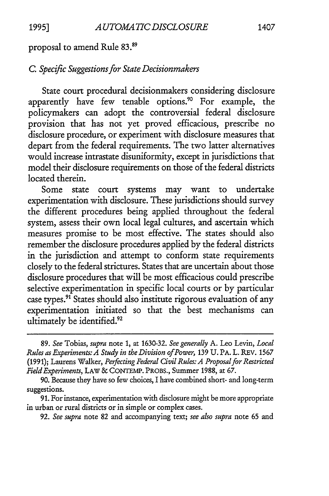proposal to amend Rule 83.<sup>89</sup>

# C. *Specific Suggestions for State Decisionmakers*

State court procedural decisionmakers considering disclosure apparently have few tenable options.<sup>9</sup> ° For example, the policymakers can adopt the controversial federal disclosure provision that has not yet proved efficacious, prescribe no disclosure procedure, or experiment with disclosure measures that depart from the federal requirements. The two latter alternatives would increase intrastate disuniformity, except in jurisdictions that model their disclosure requirements on those of the federal districts located therein.

Some state court systems may want to undertake experimentation with disclosure. These jurisdictions should survey the different procedures being applied throughout the federal system, assess their own local legal cultures, and ascertain which measures promise to be most effective. The states should also remember the disclosure procedures applied by the federal districts in the jurisdiction and attempt to conform state requirements closely to the federal strictures. States that are uncertain about those disclosure procedures that will be most efficacious could prescribe selective experimentation in specific local courts or by particular case types.<sup>91</sup> States should also institute rigorous evaluation of any experimentation initiated so that the best mechanisms can ultimately be identified.<sup>92</sup>

92. *See supra* note 82 and accompanying text; *see also supra* note 65 and

<sup>89.</sup> *See* Tobias, *supra* note 1, at 1630-32. *See generally* A. Leo Levin, *Local Rules as Experiments: A Study in the Division of Power,* 139 U. PA. L. REV. 1567 {1991); Laurens Walker, *Perfecting Federal Civil Rules: A Proposal for Restricted*  Field Experiments, LAW & CONTEMP. PROBS., Summer 1988, at 67.

<sup>90.</sup> Because they have so few choices, I have combined short- and long-term suggestions.

<sup>91.</sup> For instance, experimentation with disclosure might be more appropriate in urban or rural districts or in simple or complex cases.